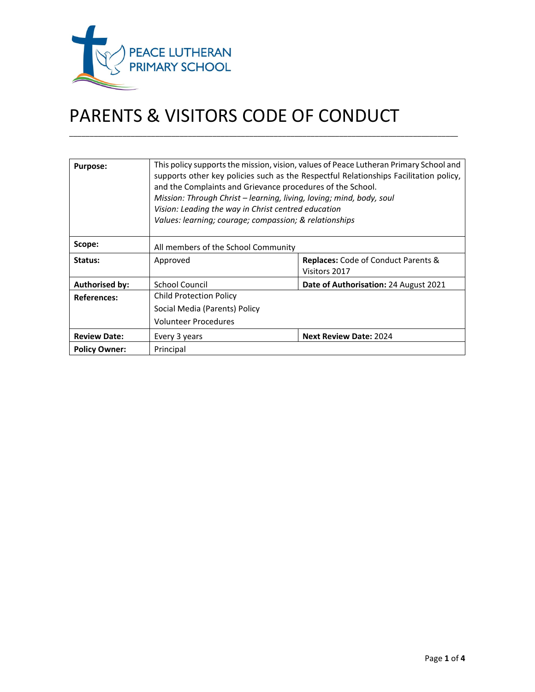

# PARENTS & VISITORS CODE OF CONDUCT

| <b>Purpose:</b>       | This policy supports the mission, vision, values of Peace Lutheran Primary School and<br>supports other key policies such as the Respectful Relationships Facilitation policy,<br>and the Complaints and Grievance procedures of the School.<br>Mission: Through Christ – learning, living, loving; mind, body, soul<br>Vision: Leading the way in Christ centred education<br>Values: learning; courage; compassion; & relationships |                                                             |
|-----------------------|---------------------------------------------------------------------------------------------------------------------------------------------------------------------------------------------------------------------------------------------------------------------------------------------------------------------------------------------------------------------------------------------------------------------------------------|-------------------------------------------------------------|
| Scope:                | All members of the School Community                                                                                                                                                                                                                                                                                                                                                                                                   |                                                             |
| Status:               | Approved                                                                                                                                                                                                                                                                                                                                                                                                                              | <b>Replaces:</b> Code of Conduct Parents &<br>Visitors 2017 |
| <b>Authorised by:</b> | <b>School Council</b>                                                                                                                                                                                                                                                                                                                                                                                                                 | Date of Authorisation: 24 August 2021                       |
| <b>References:</b>    | <b>Child Protection Policy</b>                                                                                                                                                                                                                                                                                                                                                                                                        |                                                             |
|                       | Social Media (Parents) Policy                                                                                                                                                                                                                                                                                                                                                                                                         |                                                             |
|                       | <b>Volunteer Procedures</b>                                                                                                                                                                                                                                                                                                                                                                                                           |                                                             |
| <b>Review Date:</b>   | Every 3 years                                                                                                                                                                                                                                                                                                                                                                                                                         | <b>Next Review Date: 2024</b>                               |
| <b>Policy Owner:</b>  | Principal                                                                                                                                                                                                                                                                                                                                                                                                                             |                                                             |

\_\_\_\_\_\_\_\_\_\_\_\_\_\_\_\_\_\_\_\_\_\_\_\_\_\_\_\_\_\_\_\_\_\_\_\_\_\_\_\_\_\_\_\_\_\_\_\_\_\_\_\_\_\_\_\_\_\_\_\_\_\_\_\_\_\_\_\_\_\_\_\_\_\_\_\_\_\_\_\_\_\_\_\_\_\_\_\_\_\_\_\_\_\_\_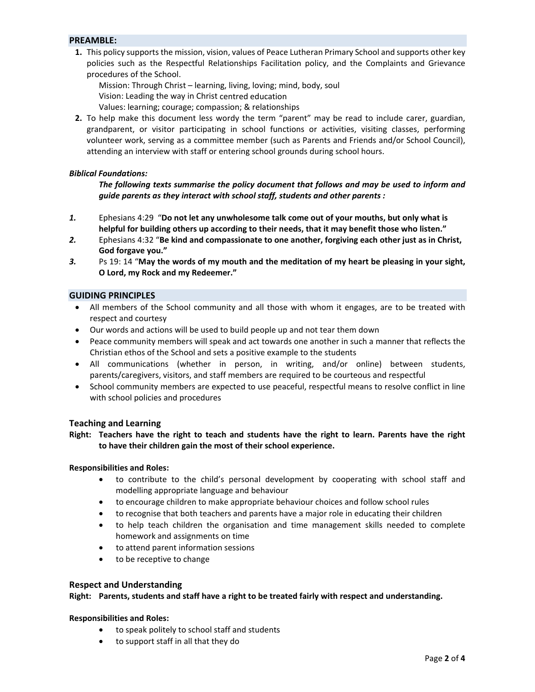# **PREAMBLE:**

**1.** This policy supports the mission, vision, values of Peace Lutheran Primary School and supports other key policies such as the Respectful Relationships Facilitation policy, and the Complaints and Grievance procedures of the School.

Mission: Through Christ – learning, living, loving; mind, body, soul

Vision: Leading the way in Christ centred education

Values: learning; courage; compassion; & relationships

**2.** To help make this document less wordy the term "parent" may be read to include carer, guardian, grandparent, or visitor participating in school functions or activities, visiting classes, performing volunteer work, serving as a committee member (such as Parents and Friends and/or School Council), attending an interview with staff or entering school grounds during school hours.

# *Biblical Foundations:*

*The following texts summarise the policy document that follows and may be used to inform and guide parents as they interact with school staff, students and other parents :* 

- *1.* Ephesians 4:29 "**Do not let any unwholesome talk come out of your mouths, but only what is helpful for building others up according to their needs, that it may benefit those who listen."**
- *2.* Ephesians 4:32 "**Be kind and compassionate to one another, forgiving each other just as in Christ, God forgave you."**
- *3.* Ps 19: 14 "**May the words of my mouth and the meditation of my heart be pleasing in your sight, O Lord, my Rock and my Redeemer."**

# **GUIDING PRINCIPLES**

- All members of the School community and all those with whom it engages, are to be treated with respect and courtesy
- Our words and actions will be used to build people up and not tear them down
- Peace community members will speak and act towards one another in such a manner that reflects the Christian ethos of the School and sets a positive example to the students
- All communications (whether in person, in writing, and/or online) between students, parents/caregivers, visitors, and staff members are required to be courteous and respectful
- School community members are expected to use peaceful, respectful means to resolve conflict in line with school policies and procedures

# **Teaching and Learning**

# Right: Teachers have the right to teach and students have the right to learn. Parents have the right  **to have their children gain the most of their school experience.**

# **Responsibilities and Roles:**

- to contribute to the child's personal development by cooperating with school staff and modelling appropriate language and behaviour
- to encourage children to make appropriate behaviour choices and follow school rules
- to recognise that both teachers and parents have a major role in educating their children
- to help teach children the organisation and time management skills needed to complete homework and assignments on time
- to attend parent information sessions
- to be receptive to change

# **Respect and Understanding**

**Right: Parents, students and staff have a right to be treated fairly with respect and understanding.**

# **Responsibilities and Roles:**

- to speak politely to school staff and students
- to support staff in all that they do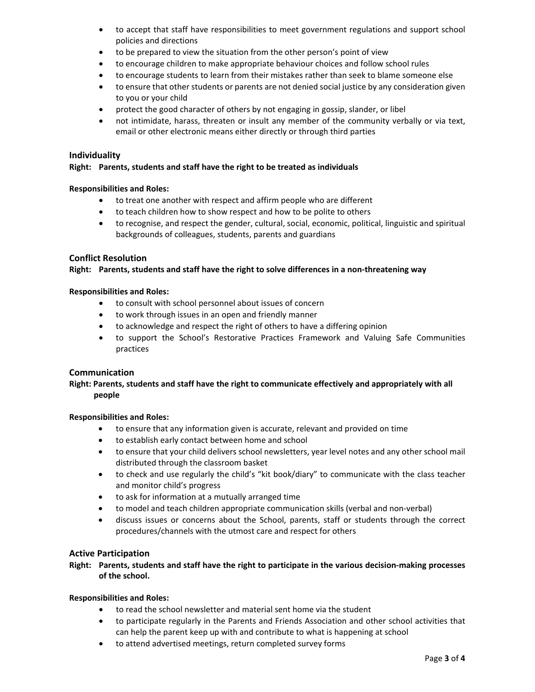- to accept that staff have responsibilities to meet government regulations and support school policies and directions
- to be prepared to view the situation from the other person's point of view
- to encourage children to make appropriate behaviour choices and follow school rules
- to encourage students to learn from their mistakes rather than seek to blame someone else
- to ensure that other students or parents are not denied social justice by any consideration given to you or your child
- protect the good character of others by not engaging in gossip, slander, or libel
- not intimidate, harass, threaten or insult any member of the community verbally or via text, email or other electronic means either directly or through third parties

# **Individuality**

## **Right: Parents, students and staff have the right to be treated as individuals**

## **Responsibilities and Roles:**

- to treat one another with respect and affirm people who are different
- to teach children how to show respect and how to be polite to others
- to recognise, and respect the gender, cultural, social, economic, political, linguistic and spiritual backgrounds of colleagues, students, parents and guardians

# **Conflict Resolution**

# **Right: Parents, students and staff have the right to solve differences in a non‐threatening way**

## **Responsibilities and Roles:**

- to consult with school personnel about issues of concern
- to work through issues in an open and friendly manner
- to acknowledge and respect the right of others to have a differing opinion
- to support the School's Restorative Practices Framework and Valuing Safe Communities practices

# **Communication**

# **Right: Parents, students and staff have the right to communicate effectively and appropriately with all people**

#### **Responsibilities and Roles:**

- to ensure that any information given is accurate, relevant and provided on time
- to establish early contact between home and school
- to ensure that your child delivers school newsletters, year level notes and any other school mail distributed through the classroom basket
- to check and use regularly the child's "kit book/diary" to communicate with the class teacher and monitor child's progress
- to ask for information at a mutually arranged time
- to model and teach children appropriate communication skills (verbal and non‐verbal)
- discuss issues or concerns about the School, parents, staff or students through the correct procedures/channels with the utmost care and respect for others

# **Active Participation**

# Right: Parents, students and staff have the right to participate in the various decision-making processes  **of the school.**

# **Responsibilities and Roles:**

- to read the school newsletter and material sent home via the student
- to participate regularly in the Parents and Friends Association and other school activities that can help the parent keep up with and contribute to what is happening at school
- to attend advertised meetings, return completed survey forms